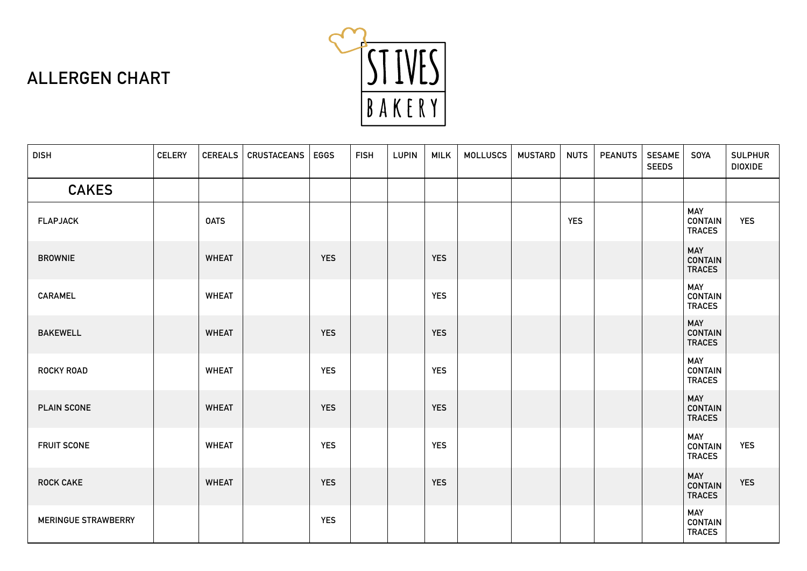

| <b>DISH</b>                | <b>CELERY</b> | <b>CEREALS</b> | <b>CRUSTACEANS</b> | <b>EGGS</b> | <b>FISH</b> | <b>LUPIN</b> | <b>MILK</b> | <b>MOLLUSCS</b> | <b>MUSTARD</b> | <b>NUTS</b> | <b>PEANUTS</b> | <b>SESAME</b><br><b>SEEDS</b> | <b>SOYA</b>                                   | <b>SULPHUR</b><br><b>DIOXIDE</b> |
|----------------------------|---------------|----------------|--------------------|-------------|-------------|--------------|-------------|-----------------|----------------|-------------|----------------|-------------------------------|-----------------------------------------------|----------------------------------|
| <b>CAKES</b>               |               |                |                    |             |             |              |             |                 |                |             |                |                               |                                               |                                  |
| <b>FLAPJACK</b>            |               | <b>OATS</b>    |                    |             |             |              |             |                 |                | <b>YES</b>  |                |                               | <b>MAY</b><br><b>CONTAIN</b><br><b>TRACES</b> | <b>YES</b>                       |
| <b>BROWNIE</b>             |               | <b>WHEAT</b>   |                    | <b>YES</b>  |             |              | <b>YES</b>  |                 |                |             |                |                               | <b>MAY</b><br><b>CONTAIN</b><br><b>TRACES</b> |                                  |
| <b>CARAMEL</b>             |               | <b>WHEAT</b>   |                    |             |             |              | <b>YES</b>  |                 |                |             |                |                               | MAY<br><b>CONTAIN</b><br><b>TRACES</b>        |                                  |
| <b>BAKEWELL</b>            |               | <b>WHEAT</b>   |                    | <b>YES</b>  |             |              | <b>YES</b>  |                 |                |             |                |                               | <b>MAY</b><br><b>CONTAIN</b><br><b>TRACES</b> |                                  |
| <b>ROCKY ROAD</b>          |               | <b>WHEAT</b>   |                    | <b>YES</b>  |             |              | <b>YES</b>  |                 |                |             |                |                               | <b>MAY</b><br><b>CONTAIN</b><br><b>TRACES</b> |                                  |
| <b>PLAIN SCONE</b>         |               | <b>WHEAT</b>   |                    | <b>YES</b>  |             |              | <b>YES</b>  |                 |                |             |                |                               | <b>MAY</b><br><b>CONTAIN</b><br><b>TRACES</b> |                                  |
| <b>FRUIT SCONE</b>         |               | <b>WHEAT</b>   |                    | <b>YES</b>  |             |              | <b>YES</b>  |                 |                |             |                |                               | MAY<br><b>CONTAIN</b><br><b>TRACES</b>        | <b>YES</b>                       |
| <b>ROCK CAKE</b>           |               | <b>WHEAT</b>   |                    | <b>YES</b>  |             |              | <b>YES</b>  |                 |                |             |                |                               | <b>MAY</b><br><b>CONTAIN</b><br><b>TRACES</b> | <b>YES</b>                       |
| <b>MERINGUE STRAWBERRY</b> |               |                |                    | <b>YES</b>  |             |              |             |                 |                |             |                |                               | <b>MAY</b><br><b>CONTAIN</b><br><b>TRACES</b> |                                  |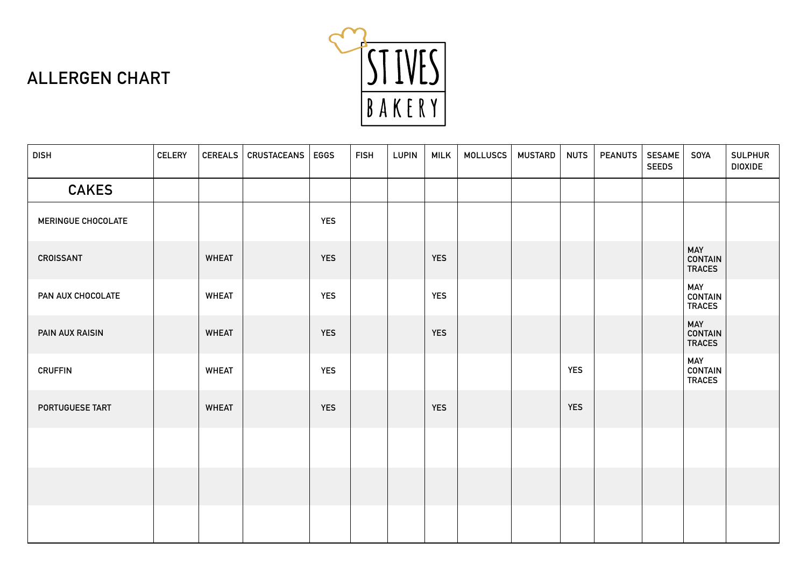

| <b>DISH</b>        | <b>CELERY</b> | <b>CEREALS</b> | CRUSTACEANS | <b>EGGS</b> | <b>FISH</b> | <b>LUPIN</b> | <b>MILK</b> | <b>MOLLUSCS</b> | <b>MUSTARD</b> | <b>NUTS</b> | <b>PEANUTS</b> | <b>SESAME</b><br><b>SEEDS</b> | <b>SOYA</b>                                   | <b>SULPHUR</b><br><b>DIOXIDE</b> |
|--------------------|---------------|----------------|-------------|-------------|-------------|--------------|-------------|-----------------|----------------|-------------|----------------|-------------------------------|-----------------------------------------------|----------------------------------|
| <b>CAKES</b>       |               |                |             |             |             |              |             |                 |                |             |                |                               |                                               |                                  |
| MERINGUE CHOCOLATE |               |                |             | <b>YES</b>  |             |              |             |                 |                |             |                |                               |                                               |                                  |
| <b>CROISSANT</b>   |               | <b>WHEAT</b>   |             | <b>YES</b>  |             |              | <b>YES</b>  |                 |                |             |                |                               | <b>MAY</b><br><b>CONTAIN</b><br><b>TRACES</b> |                                  |
| PAN AUX CHOCOLATE  |               | <b>WHEAT</b>   |             | <b>YES</b>  |             |              | <b>YES</b>  |                 |                |             |                |                               | <b>MAY</b><br><b>CONTAIN</b><br><b>TRACES</b> |                                  |
| PAIN AUX RAISIN    |               | <b>WHEAT</b>   |             | <b>YES</b>  |             |              | <b>YES</b>  |                 |                |             |                |                               | <b>MAY</b><br><b>CONTAIN</b><br><b>TRACES</b> |                                  |
| <b>CRUFFIN</b>     |               | <b>WHEAT</b>   |             | <b>YES</b>  |             |              |             |                 |                | <b>YES</b>  |                |                               | <b>MAY</b><br><b>CONTAIN</b><br><b>TRACES</b> |                                  |
| PORTUGUESE TART    |               | <b>WHEAT</b>   |             | <b>YES</b>  |             |              | <b>YES</b>  |                 |                | <b>YES</b>  |                |                               |                                               |                                  |
|                    |               |                |             |             |             |              |             |                 |                |             |                |                               |                                               |                                  |
|                    |               |                |             |             |             |              |             |                 |                |             |                |                               |                                               |                                  |
|                    |               |                |             |             |             |              |             |                 |                |             |                |                               |                                               |                                  |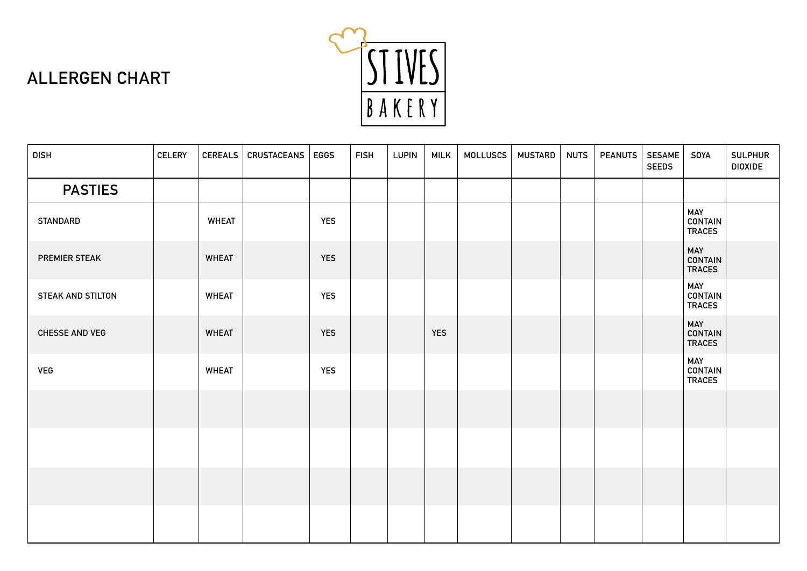

| <b>DISH</b>           | <b>CELERY</b> |              | CEREALS   CRUSTACEANS | <b>EGGS</b> | <b>FISH</b> | <b>LUPIN</b> | <b>MILK</b> | <b>MOLLUSCS</b> | <b>MUSTARD</b> | <b>NUTS</b> | <b>PEANUTS</b> | <b>SESAME</b><br><b>SEEDS</b> | <b>SOYA</b>                                   | <b>SULPHUR</b><br><b>DIOXIDE</b> |
|-----------------------|---------------|--------------|-----------------------|-------------|-------------|--------------|-------------|-----------------|----------------|-------------|----------------|-------------------------------|-----------------------------------------------|----------------------------------|
| <b>PASTIES</b>        |               |              |                       |             |             |              |             |                 |                |             |                |                               |                                               |                                  |
| <b>STANDARD</b>       |               | <b>WHEAT</b> |                       | <b>YES</b>  |             |              |             |                 |                |             |                |                               | <b>MAY</b><br>CONTAIN<br><b>TRACES</b>        |                                  |
| PREMIER STEAK         |               | <b>WHEAT</b> |                       | <b>YES</b>  |             |              |             |                 |                |             |                |                               | <b>MAY</b><br><b>CONTAIN</b><br><b>TRACES</b> |                                  |
| STEAK AND STILTON     |               | <b>WHEAT</b> |                       | <b>YES</b>  |             |              |             |                 |                |             |                |                               | <b>MAY</b><br><b>CONTAIN</b><br><b>TRACES</b> |                                  |
| <b>CHESSE AND VEG</b> |               | <b>WHEAT</b> |                       | <b>YES</b>  |             |              | <b>YES</b>  |                 |                |             |                |                               | <b>MAY</b><br><b>CONTAIN</b><br><b>TRACES</b> |                                  |
| <b>VEG</b>            |               | <b>WHEAT</b> |                       | <b>YES</b>  |             |              |             |                 |                |             |                |                               | <b>MAY</b><br><b>CONTAIN</b><br><b>TRACES</b> |                                  |
|                       |               |              |                       |             |             |              |             |                 |                |             |                |                               |                                               |                                  |
|                       |               |              |                       |             |             |              |             |                 |                |             |                |                               |                                               |                                  |
|                       |               |              |                       |             |             |              |             |                 |                |             |                |                               |                                               |                                  |
|                       |               |              |                       |             |             |              |             |                 |                |             |                |                               |                                               |                                  |